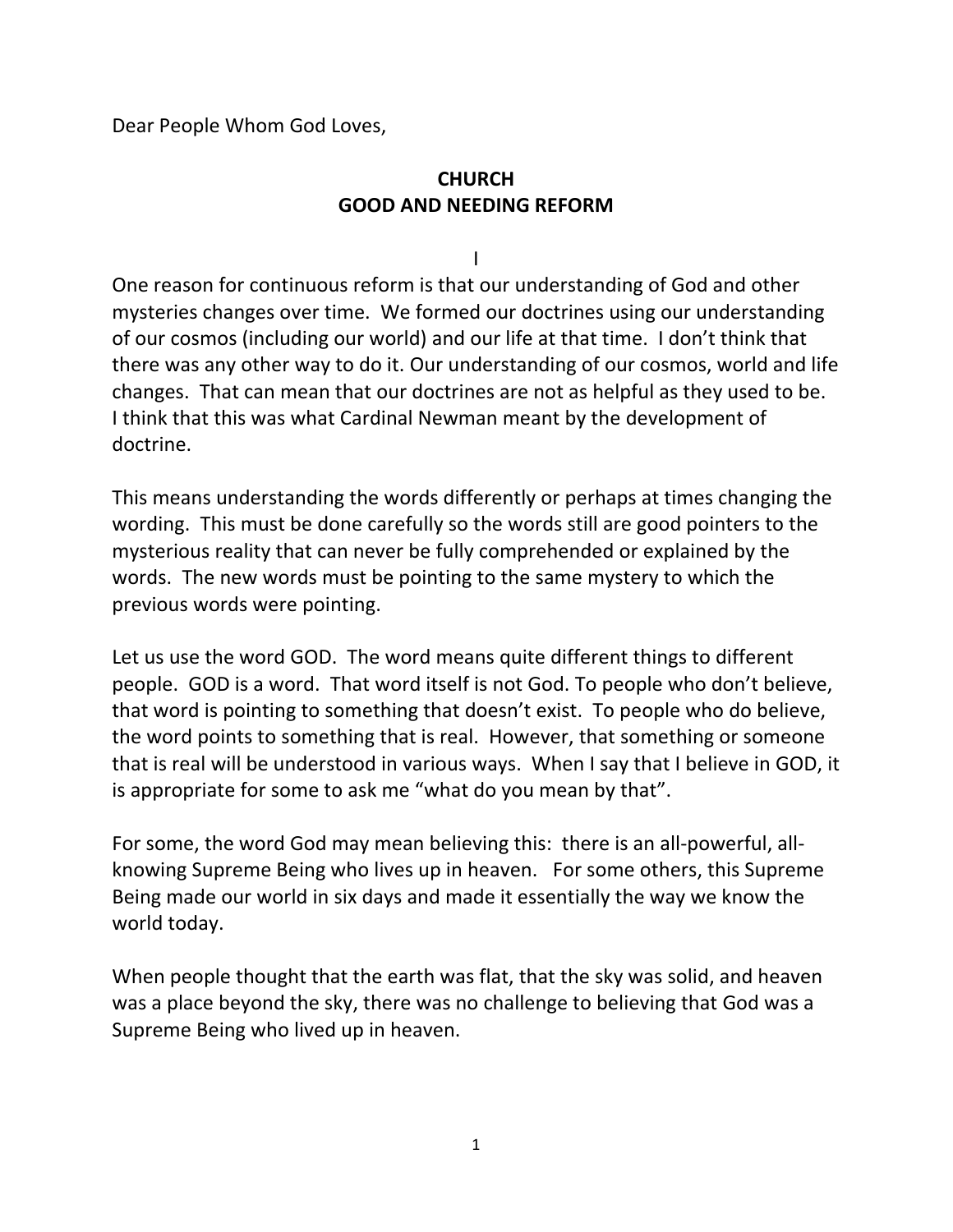Dear People Whom God Loves,

## **CHURCH GOOD AND NEEDING REFORM**

I

One reason for continuous reform is that our understanding of God and other mysteries changes over time. We formed our doctrines using our understanding of our cosmos (including our world) and our life at that time. I don't think that there was any other way to do it. Our understanding of our cosmos, world and life changes. That can mean that our doctrines are not as helpful as they used to be. I think that this was what Cardinal Newman meant by the development of doctrine.

This means understanding the words differently or perhaps at times changing the wording. This must be done carefully so the words still are good pointers to the mysterious reality that can never be fully comprehended or explained by the words. The new words must be pointing to the same mystery to which the previous words were pointing.

Let us use the word GOD. The word means quite different things to different people. GOD is a word. That word itself is not God. To people who don't believe, that word is pointing to something that doesn't exist. To people who do believe, the word points to something that is real. However, that something or someone that is real will be understood in various ways. When I say that I believe in GOD, it is appropriate for some to ask me "what do you mean by that".

For some, the word God may mean believing this: there is an all-powerful, allknowing Supreme Being who lives up in heaven. For some others, this Supreme Being made our world in six days and made it essentially the way we know the world today.

When people thought that the earth was flat, that the sky was solid, and heaven was a place beyond the sky, there was no challenge to believing that God was a Supreme Being who lived up in heaven.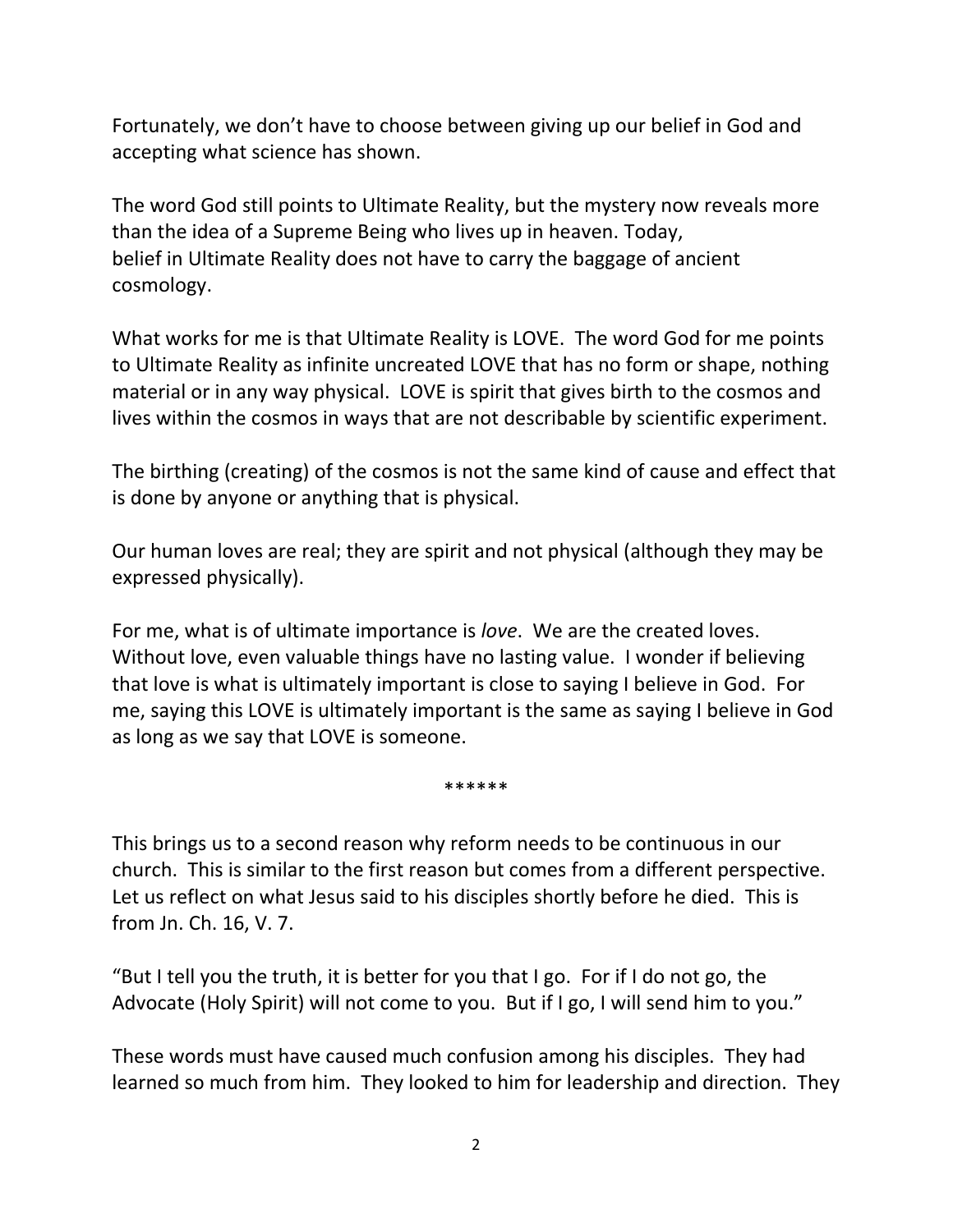Fortunately, we don't have to choose between giving up our belief in God and accepting what science has shown.

The word God still points to Ultimate Reality, but the mystery now reveals more than the idea of a Supreme Being who lives up in heaven. Today, belief in Ultimate Reality does not have to carry the baggage of ancient cosmology.

What works for me is that Ultimate Reality is LOVE. The word God for me points to Ultimate Reality as infinite uncreated LOVE that has no form or shape, nothing material or in any way physical. LOVE is spirit that gives birth to the cosmos and lives within the cosmos in ways that are not describable by scientific experiment.

The birthing (creating) of the cosmos is not the same kind of cause and effect that is done by anyone or anything that is physical.

Our human loves are real; they are spirit and not physical (although they may be expressed physically).

For me, what is of ultimate importance is *love*. We are the created loves. Without love, even valuable things have no lasting value. I wonder if believing that love is what is ultimately important is close to saying I believe in God. For me, saying this LOVE is ultimately important is the same as saying I believe in God as long as we say that LOVE is someone.

\*\*\*\*\*\*

This brings us to a second reason why reform needs to be continuous in our church. This is similar to the first reason but comes from a different perspective. Let us reflect on what Jesus said to his disciples shortly before he died. This is from Jn. Ch. 16, V. 7.

"But I tell you the truth, it is better for you that I go. For if I do not go, the Advocate (Holy Spirit) will not come to you. But if I go, I will send him to you."

These words must have caused much confusion among his disciples. They had learned so much from him. They looked to him for leadership and direction. They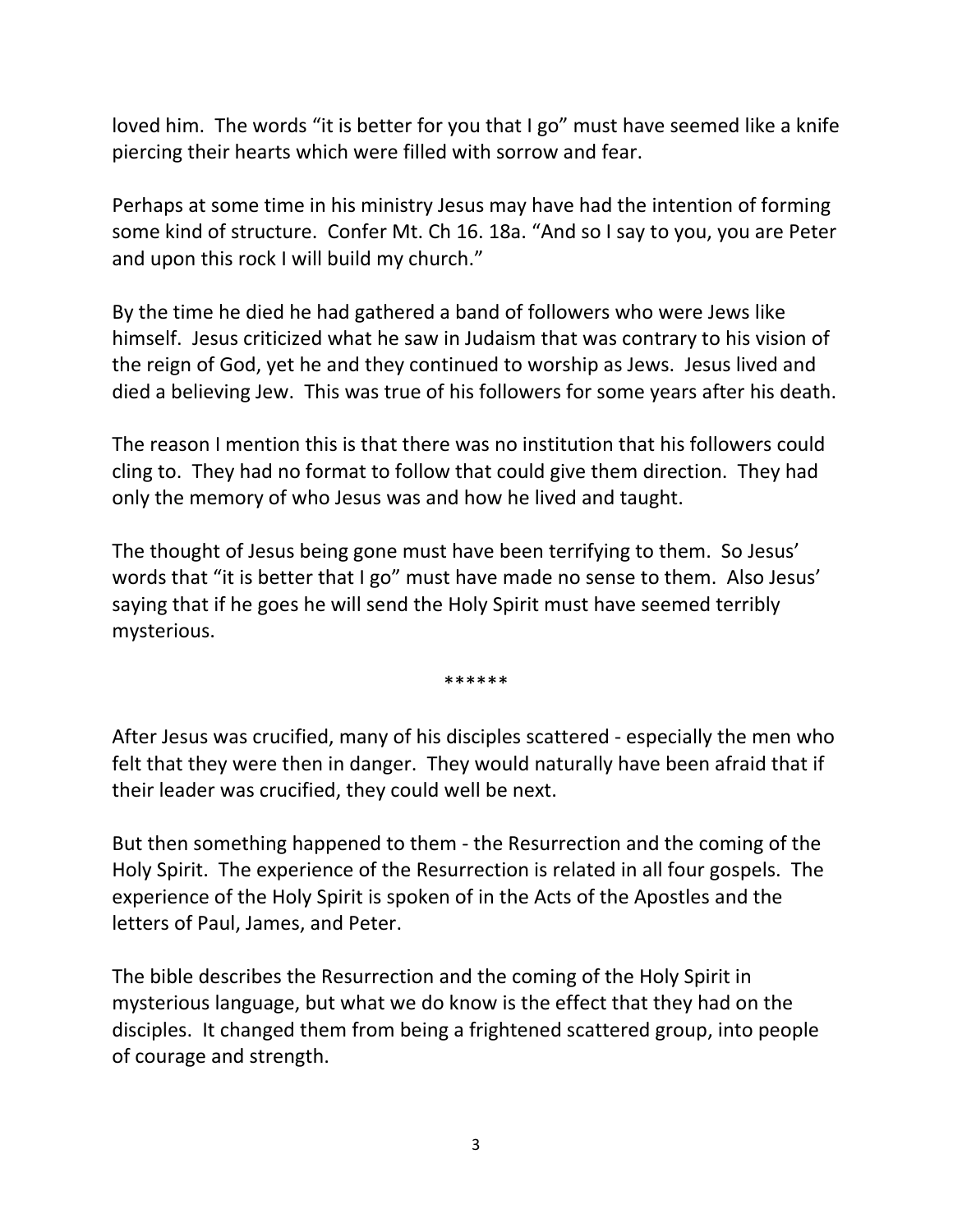loved him. The words "it is better for you that I go" must have seemed like a knife piercing their hearts which were filled with sorrow and fear.

Perhaps at some time in his ministry Jesus may have had the intention of forming some kind of structure. Confer Mt. Ch 16. 18a. "And so I say to you, you are Peter and upon this rock I will build my church."

By the time he died he had gathered a band of followers who were Jews like himself. Jesus criticized what he saw in Judaism that was contrary to his vision of the reign of God, yet he and they continued to worship as Jews. Jesus lived and died a believing Jew. This was true of his followers for some years after his death.

The reason I mention this is that there was no institution that his followers could cling to. They had no format to follow that could give them direction. They had only the memory of who Jesus was and how he lived and taught.

The thought of Jesus being gone must have been terrifying to them. So Jesus' words that "it is better that I go" must have made no sense to them. Also Jesus' saying that if he goes he will send the Holy Spirit must have seemed terribly mysterious.

\*\*\*\*\*\*

After Jesus was crucified, many of his disciples scattered - especially the men who felt that they were then in danger. They would naturally have been afraid that if their leader was crucified, they could well be next.

But then something happened to them - the Resurrection and the coming of the Holy Spirit. The experience of the Resurrection is related in all four gospels. The experience of the Holy Spirit is spoken of in the Acts of the Apostles and the letters of Paul, James, and Peter.

The bible describes the Resurrection and the coming of the Holy Spirit in mysterious language, but what we do know is the effect that they had on the disciples. It changed them from being a frightened scattered group, into people of courage and strength.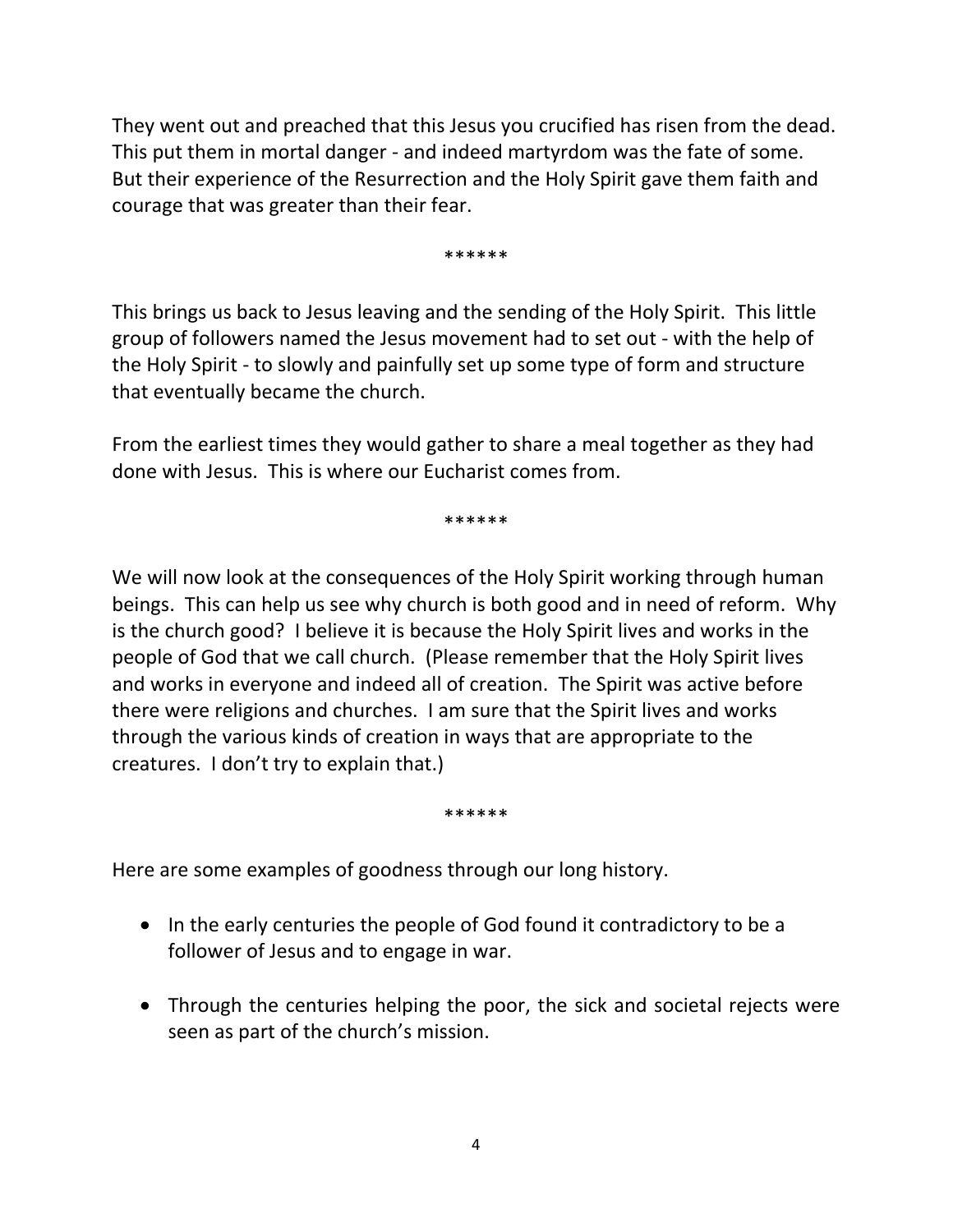They went out and preached that this Jesus you crucified has risen from the dead. This put them in mortal danger - and indeed martyrdom was the fate of some. But their experience of the Resurrection and the Holy Spirit gave them faith and courage that was greater than their fear.

\*\*\*\*\*\*

This brings us back to Jesus leaving and the sending of the Holy Spirit. This little group of followers named the Jesus movement had to set out - with the help of the Holy Spirit - to slowly and painfully set up some type of form and structure that eventually became the church.

From the earliest times they would gather to share a meal together as they had done with Jesus. This is where our Eucharist comes from.

\*\*\*\*\*\*

We will now look at the consequences of the Holy Spirit working through human beings. This can help us see why church is both good and in need of reform. Why is the church good? I believe it is because the Holy Spirit lives and works in the people of God that we call church. (Please remember that the Holy Spirit lives and works in everyone and indeed all of creation. The Spirit was active before there were religions and churches. I am sure that the Spirit lives and works through the various kinds of creation in ways that are appropriate to the creatures. I don't try to explain that.)

\*\*\*\*\*\*

Here are some examples of goodness through our long history.

- In the early centuries the people of God found it contradictory to be a follower of Jesus and to engage in war.
- Through the centuries helping the poor, the sick and societal rejects were seen as part of the church's mission.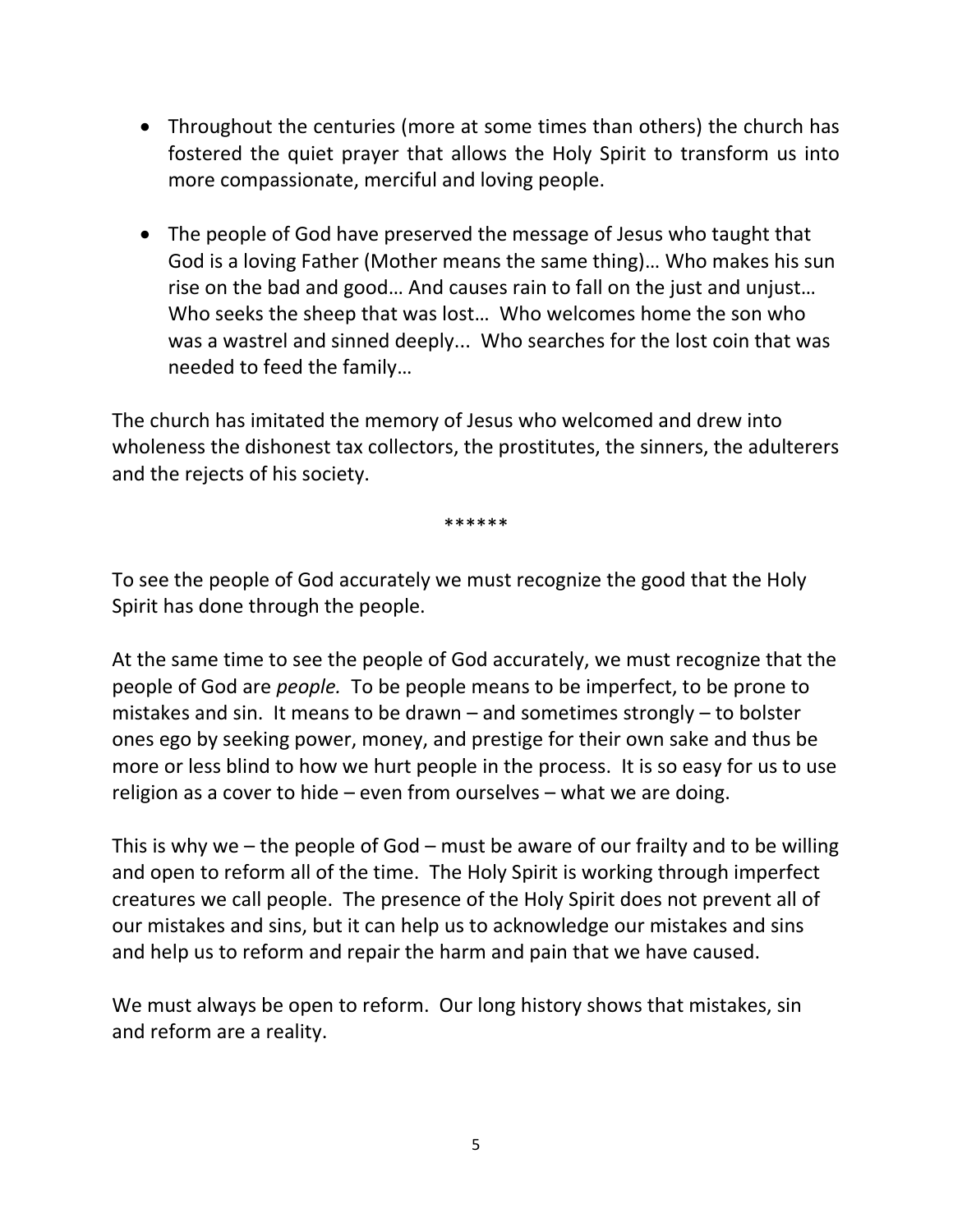- Throughout the centuries (more at some times than others) the church has fostered the quiet prayer that allows the Holy Spirit to transform us into more compassionate, merciful and loving people.
- The people of God have preserved the message of Jesus who taught that God is a loving Father (Mother means the same thing)… Who makes his sun rise on the bad and good… And causes rain to fall on the just and unjust… Who seeks the sheep that was lost… Who welcomes home the son who was a wastrel and sinned deeply... Who searches for the lost coin that was needed to feed the family…

The church has imitated the memory of Jesus who welcomed and drew into wholeness the dishonest tax collectors, the prostitutes, the sinners, the adulterers and the rejects of his society.

\*\*\*\*\*\*

To see the people of God accurately we must recognize the good that the Holy Spirit has done through the people.

At the same time to see the people of God accurately, we must recognize that the people of God are *people.* To be people means to be imperfect, to be prone to mistakes and sin. It means to be drawn – and sometimes strongly – to bolster ones ego by seeking power, money, and prestige for their own sake and thus be more or less blind to how we hurt people in the process. It is so easy for us to use religion as a cover to hide – even from ourselves – what we are doing.

This is why we – the people of God – must be aware of our frailty and to be willing and open to reform all of the time. The Holy Spirit is working through imperfect creatures we call people. The presence of the Holy Spirit does not prevent all of our mistakes and sins, but it can help us to acknowledge our mistakes and sins and help us to reform and repair the harm and pain that we have caused.

We must always be open to reform. Our long history shows that mistakes, sin and reform are a reality.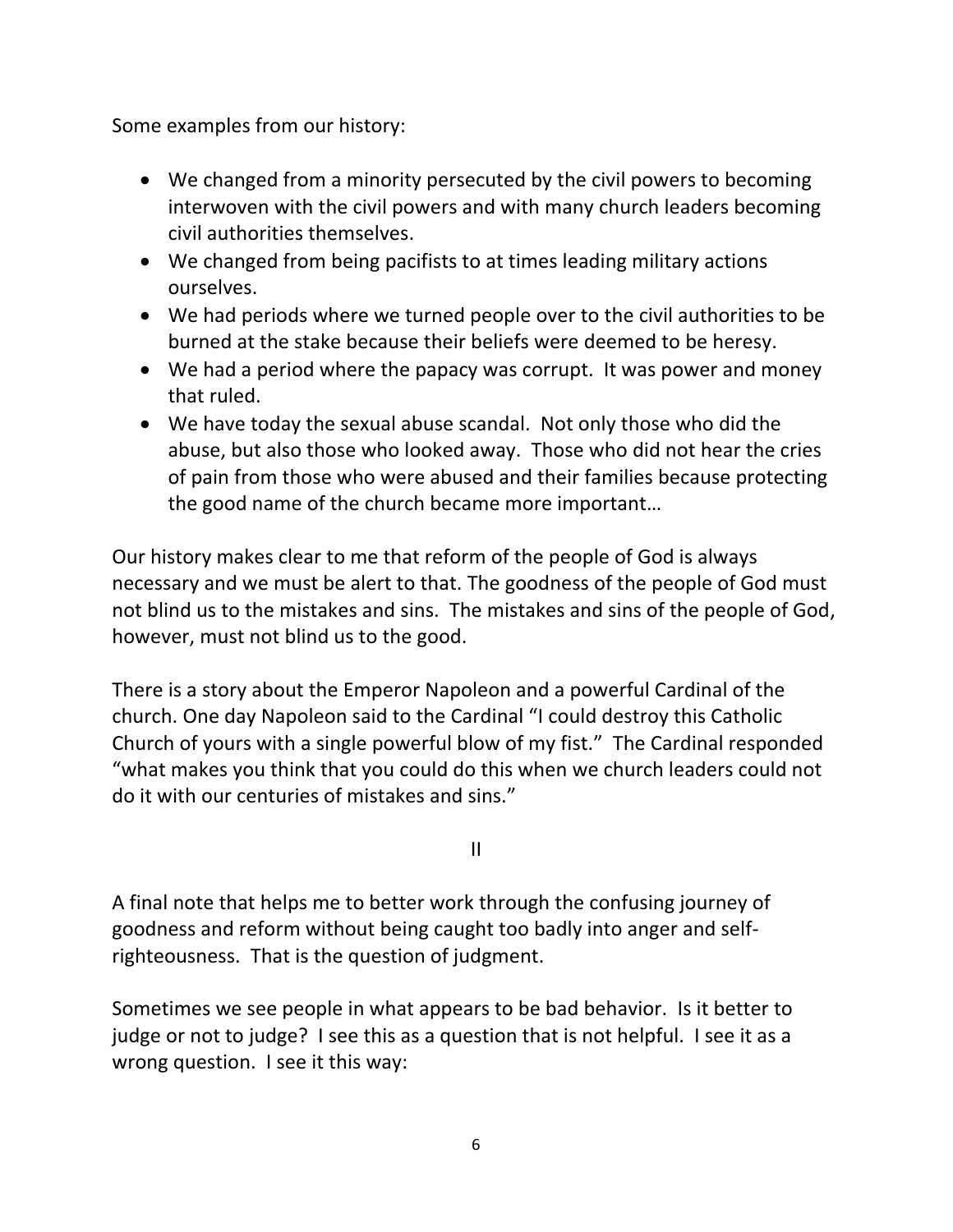Some examples from our history:

- We changed from a minority persecuted by the civil powers to becoming interwoven with the civil powers and with many church leaders becoming civil authorities themselves.
- We changed from being pacifists to at times leading military actions ourselves.
- We had periods where we turned people over to the civil authorities to be burned at the stake because their beliefs were deemed to be heresy.
- We had a period where the papacy was corrupt. It was power and money that ruled.
- We have today the sexual abuse scandal. Not only those who did the abuse, but also those who looked away. Those who did not hear the cries of pain from those who were abused and their families because protecting the good name of the church became more important…

Our history makes clear to me that reform of the people of God is always necessary and we must be alert to that. The goodness of the people of God must not blind us to the mistakes and sins. The mistakes and sins of the people of God, however, must not blind us to the good.

There is a story about the Emperor Napoleon and a powerful Cardinal of the church. One day Napoleon said to the Cardinal "I could destroy this Catholic Church of yours with a single powerful blow of my fist." The Cardinal responded "what makes you think that you could do this when we church leaders could not do it with our centuries of mistakes and sins."

II

A final note that helps me to better work through the confusing journey of goodness and reform without being caught too badly into anger and selfrighteousness. That is the question of judgment.

Sometimes we see people in what appears to be bad behavior. Is it better to judge or not to judge? I see this as a question that is not helpful. I see it as a wrong question. I see it this way: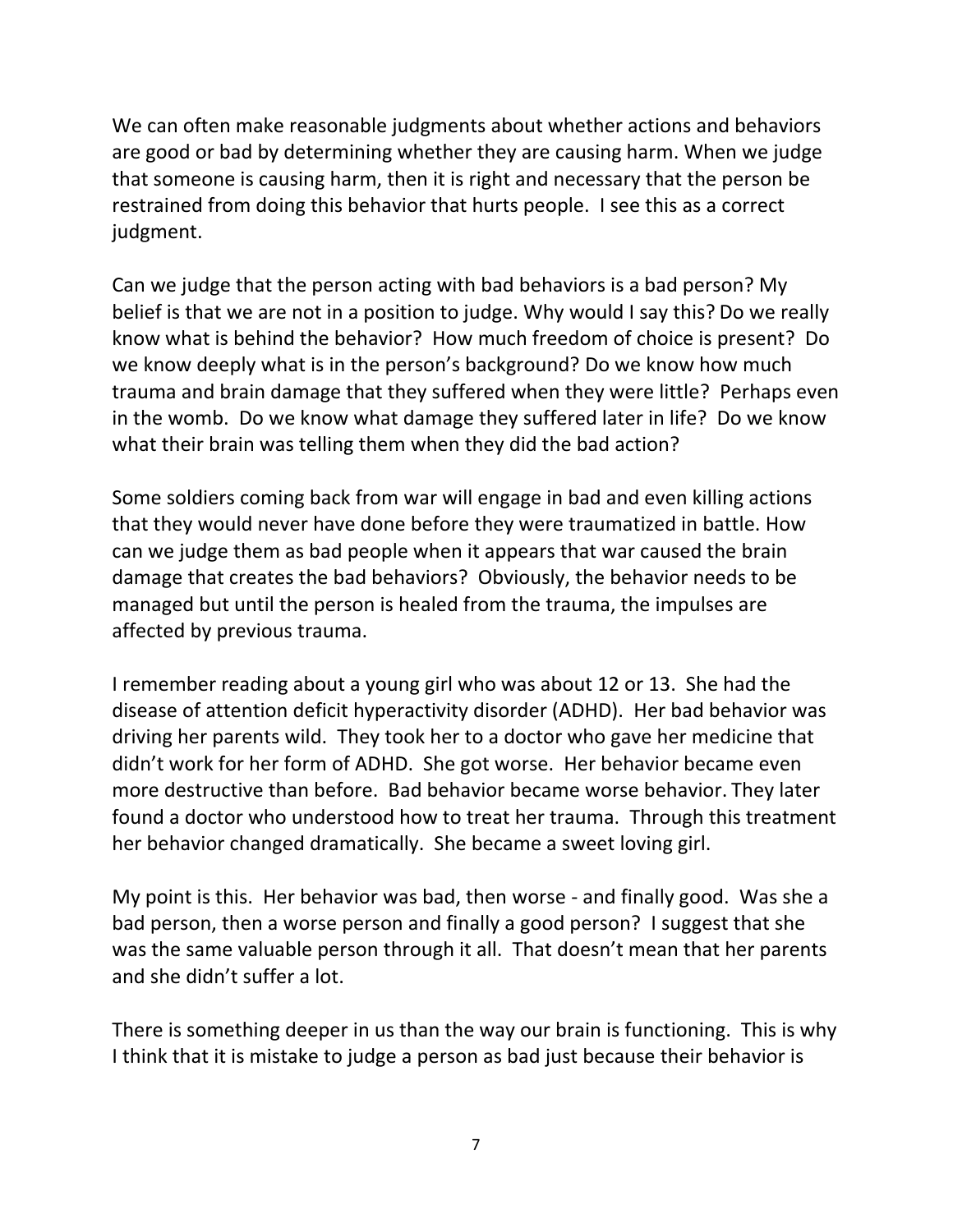We can often make reasonable judgments about whether actions and behaviors are good or bad by determining whether they are causing harm. When we judge that someone is causing harm, then it is right and necessary that the person be restrained from doing this behavior that hurts people. I see this as a correct judgment.

Can we judge that the person acting with bad behaviors is a bad person? My belief is that we are not in a position to judge. Why would I say this? Do we really know what is behind the behavior? How much freedom of choice is present? Do we know deeply what is in the person's background? Do we know how much trauma and brain damage that they suffered when they were little? Perhaps even in the womb. Do we know what damage they suffered later in life? Do we know what their brain was telling them when they did the bad action?

Some soldiers coming back from war will engage in bad and even killing actions that they would never have done before they were traumatized in battle. How can we judge them as bad people when it appears that war caused the brain damage that creates the bad behaviors? Obviously, the behavior needs to be managed but until the person is healed from the trauma, the impulses are affected by previous trauma.

I remember reading about a young girl who was about 12 or 13. She had the disease of attention deficit hyperactivity disorder (ADHD). Her bad behavior was driving her parents wild. They took her to a doctor who gave her medicine that didn't work for her form of ADHD. She got worse. Her behavior became even more destructive than before. Bad behavior became worse behavior. They later found a doctor who understood how to treat her trauma. Through this treatment her behavior changed dramatically. She became a sweet loving girl.

My point is this. Her behavior was bad, then worse - and finally good. Was she a bad person, then a worse person and finally a good person? I suggest that she was the same valuable person through it all. That doesn't mean that her parents and she didn't suffer a lot.

There is something deeper in us than the way our brain is functioning. This is why I think that it is mistake to judge a person as bad just because their behavior is